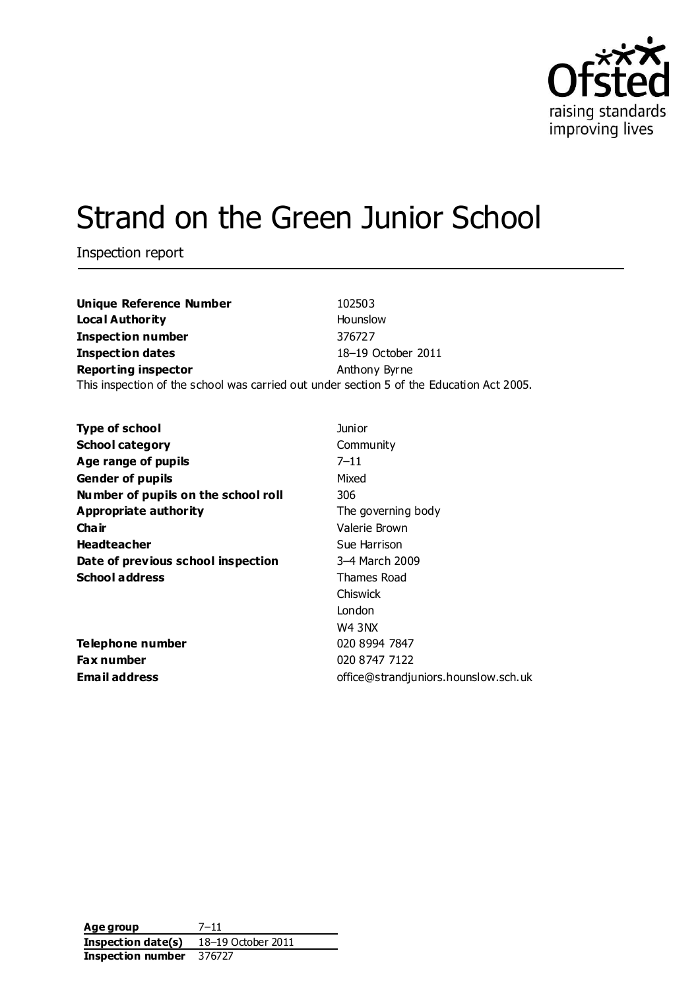

# Strand on the Green Junior School

Inspection report

| <b>Unique Reference Number</b>                                                           | 102503             |
|------------------------------------------------------------------------------------------|--------------------|
| <b>Local Authority</b>                                                                   | Hounslow           |
| <b>Inspection number</b>                                                                 | 376727             |
| <b>Inspection dates</b>                                                                  | 18-19 October 2011 |
| <b>Reporting inspector</b>                                                               | Anthony Byrne      |
| This inspection of the school was carried out under section 5 of the Education Act 2005. |                    |

| <b>Type of school</b>               | Junior                               |
|-------------------------------------|--------------------------------------|
| <b>School category</b>              | Community                            |
| Age range of pupils                 | $7 - 11$                             |
| <b>Gender of pupils</b>             | Mixed                                |
| Number of pupils on the school roll | 306                                  |
| <b>Appropriate authority</b>        | The governing body                   |
| Cha ir                              | Valerie Brown                        |
| <b>Headteacher</b>                  | Sue Harrison                         |
| Date of previous school inspection  | 3-4 March 2009                       |
| <b>School address</b>               | Thames Road                          |
|                                     | <b>Chiswick</b>                      |
|                                     | London                               |
|                                     | W4 3NX                               |
| Telephone number                    | 020 8994 7847                        |
| Fax number                          | 020 8747 7122                        |
| <b>Email address</b>                | office@strandjuniors.hounslow.sch.uk |

**Age group** 7–11 **Inspection date(s)** 18–19 October 2011 **Inspection number** 376727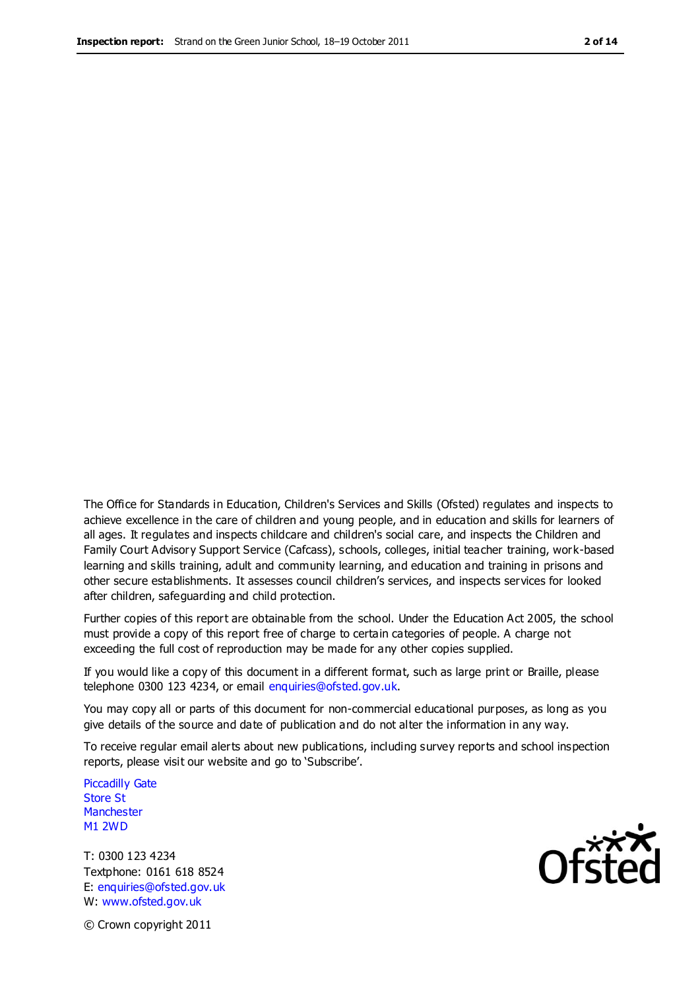The Office for Standards in Education, Children's Services and Skills (Ofsted) regulates and inspects to achieve excellence in the care of children and young people, and in education and skills for learners of all ages. It regulates and inspects childcare and children's social care, and inspects the Children and Family Court Advisory Support Service (Cafcass), schools, colleges, initial teacher training, work-based learning and skills training, adult and community learning, and education and training in prisons and other secure establishments. It assesses council children's services, and inspects services for looked after children, safeguarding and child protection.

Further copies of this report are obtainable from the school. Under the Education Act 2005, the school must provide a copy of this report free of charge to certain categories of people. A charge not exceeding the full cost of reproduction may be made for any other copies supplied.

If you would like a copy of this document in a different format, such as large print or Braille, please telephone 0300 123 4234, or email enquiries@ofsted.gov.uk.

You may copy all or parts of this document for non-commercial educational purposes, as long as you give details of the source and date of publication and do not alter the information in any way.

To receive regular email alerts about new publications, including survey reports and school inspection reports, please visit our website and go to 'Subscribe'.

Piccadilly Gate Store St **Manchester** M1 2WD

T: 0300 123 4234 Textphone: 0161 618 8524 E: enquiries@ofsted.gov.uk W: www.ofsted.gov.uk

**Ofsted** 

© Crown copyright 2011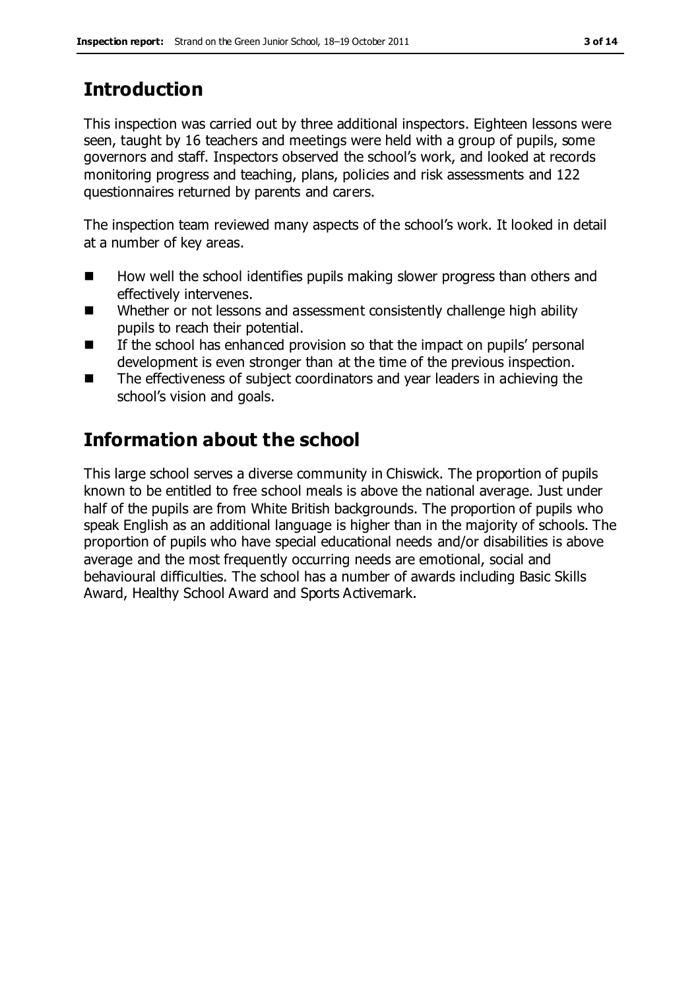# **Introduction**

This inspection was carried out by three additional inspectors. Eighteen lessons were seen, taught by 16 teachers and meetings were held with a group of pupils, some governors and staff. Inspectors observed the school's work, and looked at records monitoring progress and teaching, plans, policies and risk assessments and 122 questionnaires returned by parents and carers.

The inspection team reviewed many aspects of the school's work. It looked in detail at a number of key areas.

- $\blacksquare$  How well the school identifies pupils making slower progress than others and effectively intervenes.
- Whether or not lessons and assessment consistently challenge high ability pupils to reach their potential.
- If the school has enhanced provision so that the impact on pupils' personal development is even stronger than at the time of the previous inspection.
- The effectiveness of subject coordinators and year leaders in achieving the school's vision and goals.

# **Information about the school**

This large school serves a diverse community in Chiswick. The proportion of pupils known to be entitled to free school meals is above the national average. Just under half of the pupils are from White British backgrounds. The proportion of pupils who speak English as an additional language is higher than in the majority of schools. The proportion of pupils who have special educational needs and/or disabilities is above average and the most frequently occurring needs are emotional, social and behavioural difficulties. The school has a number of awards including Basic Skills Award, Healthy School Award and Sports Activemark.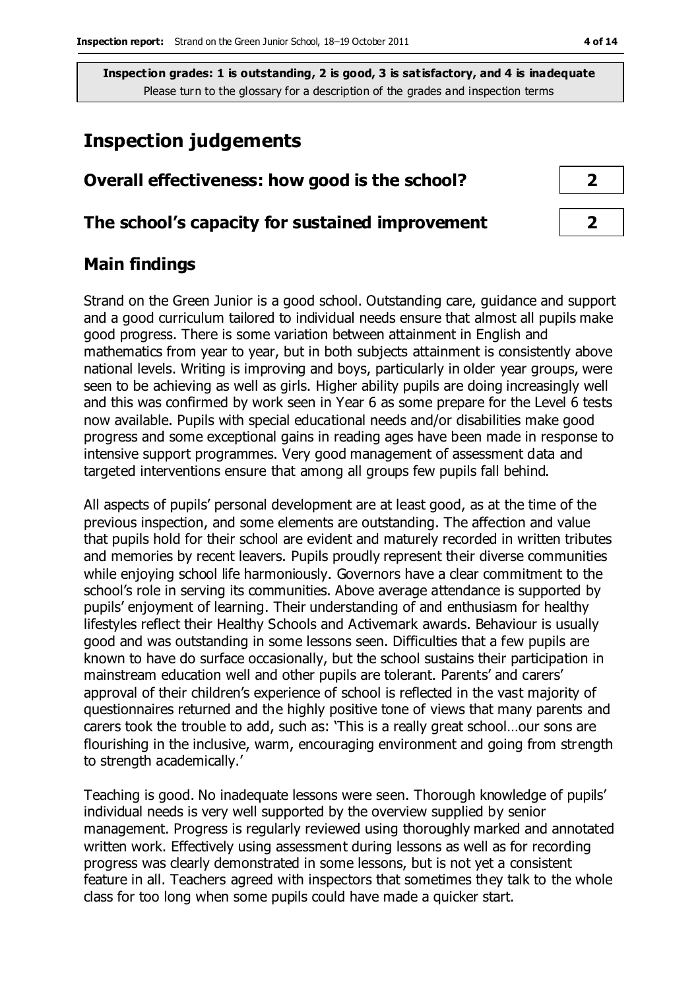# **Inspection judgements**

| Overall effectiveness: how good is the school?  |  |
|-------------------------------------------------|--|
| The school's capacity for sustained improvement |  |

## **Main findings**

Strand on the Green Junior is a good school. Outstanding care, guidance and support and a good curriculum tailored to individual needs ensure that almost all pupils make good progress. There is some variation between attainment in English and mathematics from year to year, but in both subjects attainment is consistently above national levels. Writing is improving and boys, particularly in older year groups, were seen to be achieving as well as girls. Higher ability pupils are doing increasingly well and this was confirmed by work seen in Year 6 as some prepare for the Level 6 tests now available. Pupils with special educational needs and/or disabilities make good progress and some exceptional gains in reading ages have been made in response to intensive support programmes. Very good management of assessment data and targeted interventions ensure that among all groups few pupils fall behind.

All aspects of pupils' personal development are at least good, as at the time of the previous inspection, and some elements are outstanding. The affection and value that pupils hold for their school are evident and maturely recorded in written tributes and memories by recent leavers. Pupils proudly represent their diverse communities while enjoying school life harmoniously. Governors have a clear commitment to the school's role in serving its communities. Above average attendance is supported by pupils' enjoyment of learning. Their understanding of and enthusiasm for healthy lifestyles reflect their Healthy Schools and Activemark awards. Behaviour is usually good and was outstanding in some lessons seen. Difficulties that a few pupils are known to have do surface occasionally, but the school sustains their participation in mainstream education well and other pupils are tolerant. Parents' and carers' approval of their children's experience of school is reflected in the vast majority of questionnaires returned and the highly positive tone of views that many parents and carers took the trouble to add, such as: 'This is a really great school…our sons are flourishing in the inclusive, warm, encouraging environment and going from strength to strength academically.'

Teaching is good. No inadequate lessons were seen. Thorough knowledge of pupils' individual needs is very well supported by the overview supplied by senior management. Progress is regularly reviewed using thoroughly marked and annotated written work. Effectively using assessment during lessons as well as for recording progress was clearly demonstrated in some lessons, but is not yet a consistent feature in all. Teachers agreed with inspectors that sometimes they talk to the whole class for too long when some pupils could have made a quicker start.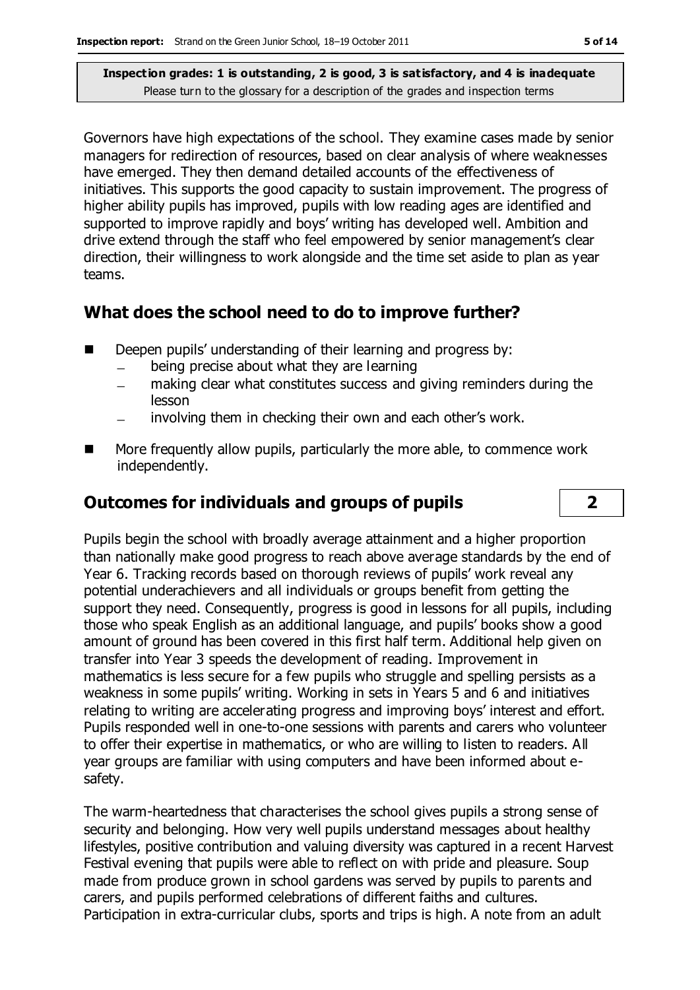Governors have high expectations of the school. They examine cases made by senior managers for redirection of resources, based on clear analysis of where weaknesses have emerged. They then demand detailed accounts of the effectiveness of initiatives. This supports the good capacity to sustain improvement. The progress of higher ability pupils has improved, pupils with low reading ages are identified and supported to improve rapidly and boys' writing has developed well. Ambition and drive extend through the staff who feel empowered by senior management's clear direction, their willingness to work alongside and the time set aside to plan as year teams.

### **What does the school need to do to improve further?**

- Deepen pupils' understanding of their learning and progress by:
	- being precise about what they are learning
	- making clear what constitutes success and giving reminders during the  $\overline{a}$ lesson
	- involving them in checking their own and each other's work.
- **More frequently allow pupils, particularly the more able, to commence work** independently.

# **Outcomes for individuals and groups of pupils 2**

Pupils begin the school with broadly average attainment and a higher proportion than nationally make good progress to reach above average standards by the end of Year 6. Tracking records based on thorough reviews of pupils' work reveal any potential underachievers and all individuals or groups benefit from getting the support they need. Consequently, progress is good in lessons for all pupils, including those who speak English as an additional language, and pupils' books show a good amount of ground has been covered in this first half term. Additional help given on transfer into Year 3 speeds the development of reading. Improvement in mathematics is less secure for a few pupils who struggle and spelling persists as a weakness in some pupils' writing. Working in sets in Years 5 and 6 and initiatives relating to writing are accelerating progress and improving boys' interest and effort. Pupils responded well in one-to-one sessions with parents and carers who volunteer to offer their expertise in mathematics, or who are willing to listen to readers. All year groups are familiar with using computers and have been informed about esafety.

The warm-heartedness that characterises the school gives pupils a strong sense of security and belonging. How very well pupils understand messages about healthy lifestyles, positive contribution and valuing diversity was captured in a recent Harvest Festival evening that pupils were able to reflect on with pride and pleasure. Soup made from produce grown in school gardens was served by pupils to parents and carers, and pupils performed celebrations of different faiths and cultures. Participation in extra-curricular clubs, sports and trips is high. A note from an adult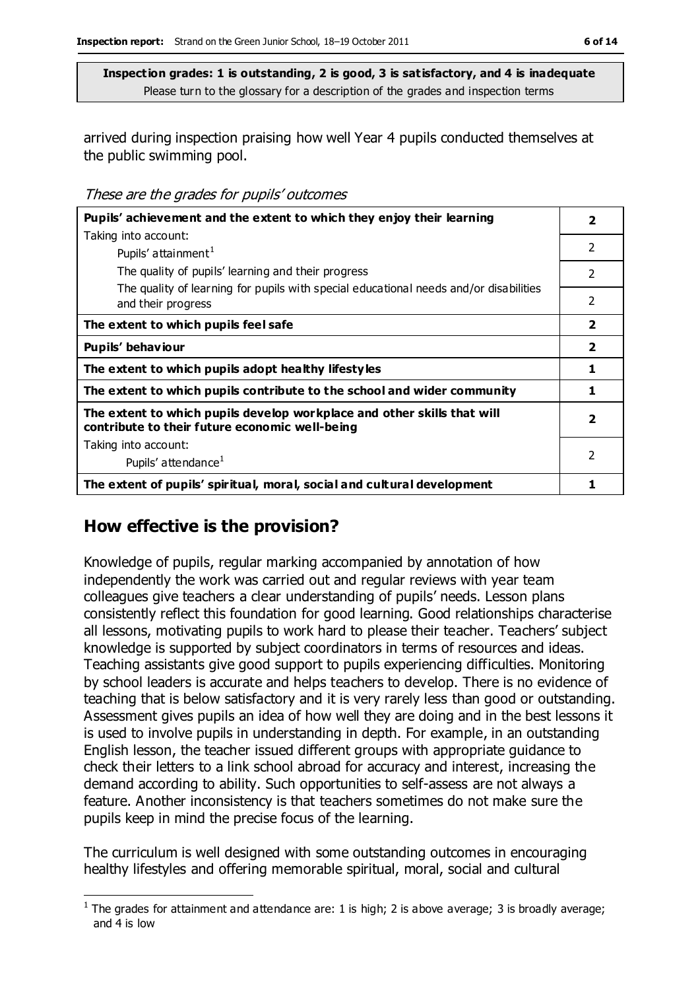arrived during inspection praising how well Year 4 pupils conducted themselves at the public swimming pool.

These are the grades for pupils' outcomes

| Pupils' achievement and the extent to which they enjoy their learning                                                     | 2              |
|---------------------------------------------------------------------------------------------------------------------------|----------------|
| Taking into account:                                                                                                      |                |
| Pupils' attainment <sup>1</sup>                                                                                           | 2              |
| The quality of pupils' learning and their progress                                                                        | 2              |
| The quality of learning for pupils with special educational needs and/or disabilities<br>and their progress               | 2              |
| The extent to which pupils feel safe                                                                                      | $\overline{2}$ |
| Pupils' behaviour                                                                                                         | $\mathbf{2}$   |
| The extent to which pupils adopt healthy lifestyles                                                                       | 1              |
| The extent to which pupils contribute to the school and wider community                                                   | 1              |
| The extent to which pupils develop workplace and other skills that will<br>contribute to their future economic well-being | $\overline{2}$ |
| Taking into account:                                                                                                      |                |
| Pupils' attendance <sup>1</sup>                                                                                           | $\mathcal{P}$  |
| The extent of pupils' spiritual, moral, social and cultural development                                                   |                |

### **How effective is the provision?**

Knowledge of pupils, regular marking accompanied by annotation of how independently the work was carried out and regular reviews with year team colleagues give teachers a clear understanding of pupils' needs. Lesson plans consistently reflect this foundation for good learning. Good relationships characterise all lessons, motivating pupils to work hard to please their teacher. Teachers' subject knowledge is supported by subject coordinators in terms of resources and ideas. Teaching assistants give good support to pupils experiencing difficulties. Monitoring by school leaders is accurate and helps teachers to develop. There is no evidence of teaching that is below satisfactory and it is very rarely less than good or outstanding. Assessment gives pupils an idea of how well they are doing and in the best lessons it is used to involve pupils in understanding in depth. For example, in an outstanding English lesson, the teacher issued different groups with appropriate guidance to check their letters to a link school abroad for accuracy and interest, increasing the demand according to ability. Such opportunities to self-assess are not always a feature. Another inconsistency is that teachers sometimes do not make sure the pupils keep in mind the precise focus of the learning.

The curriculum is well designed with some outstanding outcomes in encouraging healthy lifestyles and offering memorable spiritual, moral, social and cultural

 $\overline{a}$ <sup>1</sup> The grades for attainment and attendance are: 1 is high; 2 is above average; 3 is broadly average; and 4 is low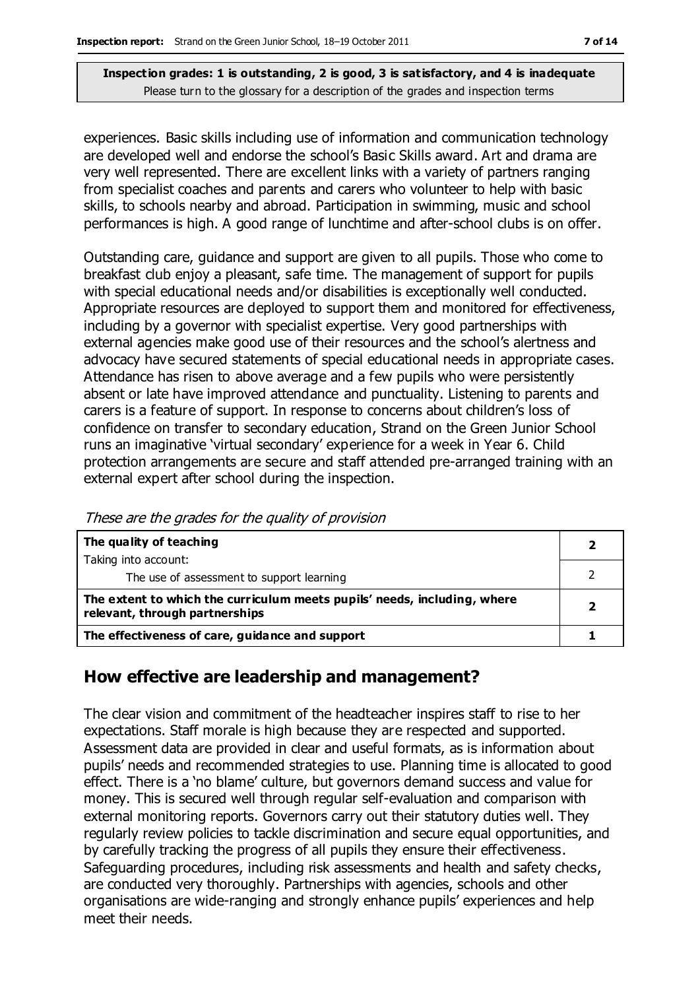experiences. Basic skills including use of information and communication technology are developed well and endorse the school's Basic Skills award. Art and drama are very well represented. There are excellent links with a variety of partners ranging from specialist coaches and parents and carers who volunteer to help with basic skills, to schools nearby and abroad. Participation in swimming, music and school performances is high. A good range of lunchtime and after-school clubs is on offer.

Outstanding care, guidance and support are given to all pupils. Those who come to breakfast club enjoy a pleasant, safe time. The management of support for pupils with special educational needs and/or disabilities is exceptionally well conducted. Appropriate resources are deployed to support them and monitored for effectiveness, including by a governor with specialist expertise. Very good partnerships with external agencies make good use of their resources and the school's alertness and advocacy have secured statements of special educational needs in appropriate cases. Attendance has risen to above average and a few pupils who were persistently absent or late have improved attendance and punctuality. Listening to parents and carers is a feature of support. In response to concerns about children's loss of confidence on transfer to secondary education, Strand on the Green Junior School runs an imaginative 'virtual secondary' experience for a week in Year 6. Child protection arrangements are secure and staff attended pre-arranged training with an external expert after school during the inspection.

| The quality of teaching                                                                                    |                         |
|------------------------------------------------------------------------------------------------------------|-------------------------|
| Taking into account:                                                                                       |                         |
| The use of assessment to support learning                                                                  |                         |
| The extent to which the curriculum meets pupils' needs, including, where<br>relevant, through partnerships | $\overline{\mathbf{2}}$ |
| The effectiveness of care, guidance and support                                                            |                         |

These are the grades for the quality of provision

# **How effective are leadership and management?**

The clear vision and commitment of the headteacher inspires staff to rise to her expectations. Staff morale is high because they are respected and supported. Assessment data are provided in clear and useful formats, as is information about pupils' needs and recommended strategies to use. Planning time is allocated to good effect. There is a 'no blame' culture, but governors demand success and value for money. This is secured well through regular self-evaluation and comparison with external monitoring reports. Governors carry out their statutory duties well. They regularly review policies to tackle discrimination and secure equal opportunities, and by carefully tracking the progress of all pupils they ensure their effectiveness. Safeguarding procedures, including risk assessments and health and safety checks, are conducted very thoroughly. Partnerships with agencies, schools and other organisations are wide-ranging and strongly enhance pupils' experiences and help meet their needs.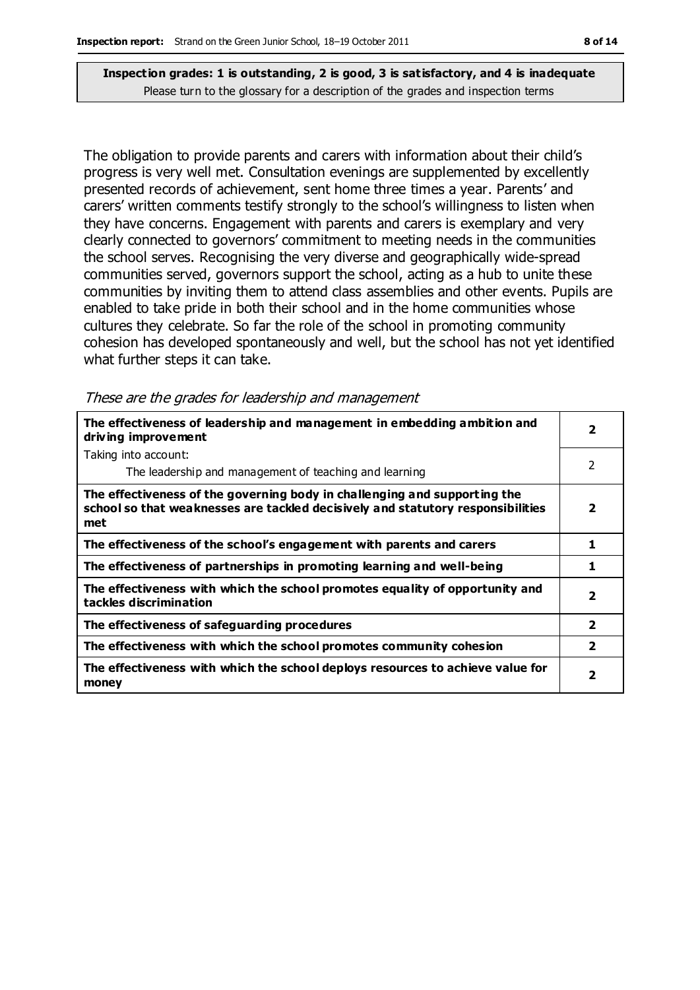The obligation to provide parents and carers with information about their child's progress is very well met. Consultation evenings are supplemented by excellently presented records of achievement, sent home three times a year. Parents' and carers' written comments testify strongly to the school's willingness to listen when they have concerns. Engagement with parents and carers is exemplary and very clearly connected to governors' commitment to meeting needs in the communities the school serves. Recognising the very diverse and geographically wide-spread communities served, governors support the school, acting as a hub to unite these communities by inviting them to attend class assemblies and other events. Pupils are enabled to take pride in both their school and in the home communities whose cultures they celebrate. So far the role of the school in promoting community cohesion has developed spontaneously and well, but the school has not yet identified what further steps it can take.

|  |  | These are the grades for leadership and management |
|--|--|----------------------------------------------------|
|  |  |                                                    |

| The effectiveness of leadership and management in embedding ambition and<br>driving improvement                                                                     | $\overline{\mathbf{2}}$ |
|---------------------------------------------------------------------------------------------------------------------------------------------------------------------|-------------------------|
| Taking into account:                                                                                                                                                |                         |
| The leadership and management of teaching and learning                                                                                                              | 2                       |
| The effectiveness of the governing body in challenging and supporting the<br>school so that weaknesses are tackled decisively and statutory responsibilities<br>met | $\overline{2}$          |
| The effectiveness of the school's engagement with parents and carers                                                                                                | 1                       |
| The effectiveness of partnerships in promoting learning and well-being                                                                                              | 1                       |
| The effectiveness with which the school promotes equality of opportunity and<br>tackles discrimination                                                              | $\overline{\mathbf{2}}$ |
| The effectiveness of safeguarding procedures                                                                                                                        | $\overline{2}$          |
| The effectiveness with which the school promotes community cohesion                                                                                                 | $\overline{\mathbf{2}}$ |
| The effectiveness with which the school deploys resources to achieve value for<br>money                                                                             | $\overline{\mathbf{2}}$ |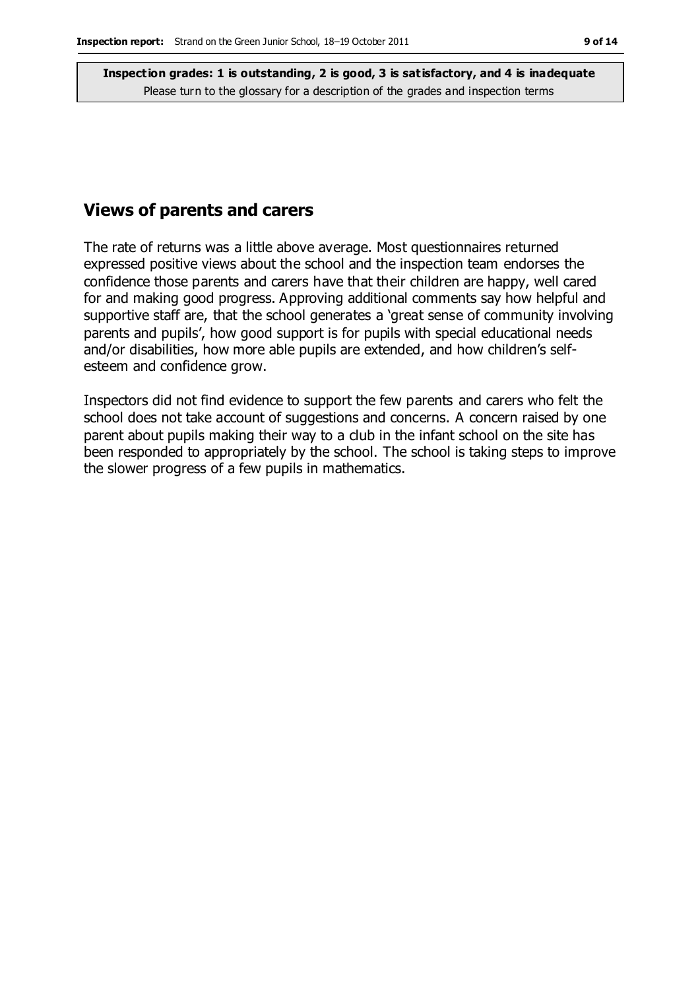### **Views of parents and carers**

The rate of returns was a little above average. Most questionnaires returned expressed positive views about the school and the inspection team endorses the confidence those parents and carers have that their children are happy, well cared for and making good progress. Approving additional comments say how helpful and supportive staff are, that the school generates a 'great sense of community involving parents and pupils', how good support is for pupils with special educational needs and/or disabilities, how more able pupils are extended, and how children's selfesteem and confidence grow.

Inspectors did not find evidence to support the few parents and carers who felt the school does not take account of suggestions and concerns. A concern raised by one parent about pupils making their way to a club in the infant school on the site has been responded to appropriately by the school. The school is taking steps to improve the slower progress of a few pupils in mathematics.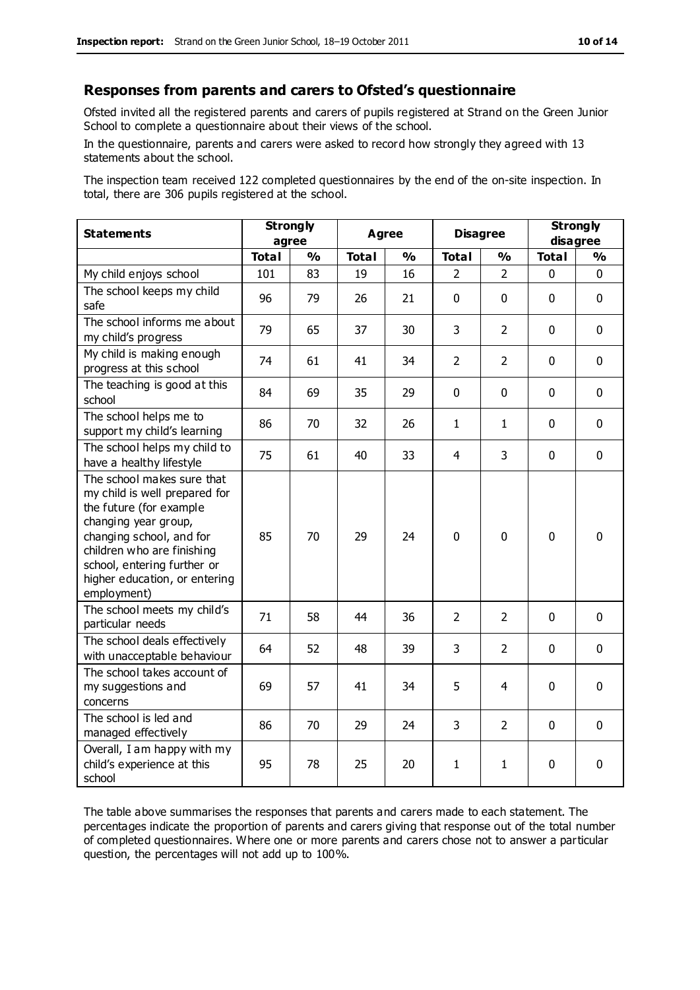#### **Responses from parents and carers to Ofsted's questionnaire**

Ofsted invited all the registered parents and carers of pupils registered at Strand on the Green Junior School to complete a questionnaire about their views of the school.

In the questionnaire, parents and carers were asked to record how strongly they agreed with 13 statements about the school.

The inspection team received 122 completed questionnaires by the end of the on-site inspection. In total, there are 306 pupils registered at the school.

| <b>Statements</b>                                                                                                                                                                                                                                       | <b>Strongly</b><br>agree |               | <b>Agree</b> |               | <b>Disagree</b> |                | <b>Strongly</b><br>disagree |             |
|---------------------------------------------------------------------------------------------------------------------------------------------------------------------------------------------------------------------------------------------------------|--------------------------|---------------|--------------|---------------|-----------------|----------------|-----------------------------|-------------|
|                                                                                                                                                                                                                                                         | <b>Total</b>             | $\frac{1}{2}$ | <b>Total</b> | $\frac{1}{2}$ | <b>Total</b>    | $\frac{0}{0}$  | <b>Total</b>                | %           |
| My child enjoys school                                                                                                                                                                                                                                  | 101                      | 83            | 19           | 16            | $\overline{2}$  | $\overline{2}$ | 0                           | $\mathbf 0$ |
| The school keeps my child<br>safe                                                                                                                                                                                                                       | 96                       | 79            | 26           | 21            | $\mathbf 0$     | $\mathbf 0$    | $\mathbf 0$                 | $\mathbf 0$ |
| The school informs me about<br>my child's progress                                                                                                                                                                                                      | 79                       | 65            | 37           | 30            | 3               | $\overline{2}$ | $\mathbf 0$                 | $\mathbf 0$ |
| My child is making enough<br>progress at this school                                                                                                                                                                                                    | 74                       | 61            | 41           | 34            | $\overline{2}$  | 2              | $\mathbf 0$                 | $\mathbf 0$ |
| The teaching is good at this<br>school                                                                                                                                                                                                                  | 84                       | 69            | 35           | 29            | 0               | $\mathbf 0$    | $\Omega$                    | $\mathbf 0$ |
| The school helps me to<br>support my child's learning                                                                                                                                                                                                   | 86                       | 70            | 32           | 26            | $\mathbf{1}$    | $\mathbf{1}$   | $\Omega$                    | $\mathbf 0$ |
| The school helps my child to<br>have a healthy lifestyle                                                                                                                                                                                                | 75                       | 61            | 40           | 33            | $\overline{4}$  | 3              | $\mathbf 0$                 | $\mathbf 0$ |
| The school makes sure that<br>my child is well prepared for<br>the future (for example<br>changing year group,<br>changing school, and for<br>children who are finishing<br>school, entering further or<br>higher education, or entering<br>employment) | 85                       | 70            | 29           | 24            | $\mathbf 0$     | $\mathbf 0$    | $\mathbf{0}$                | $\mathbf 0$ |
| The school meets my child's<br>particular needs                                                                                                                                                                                                         | 71                       | 58            | 44           | 36            | $\overline{2}$  | $\overline{2}$ | $\mathbf{0}$                | $\mathbf 0$ |
| The school deals effectively<br>with unacceptable behaviour                                                                                                                                                                                             | 64                       | 52            | 48           | 39            | 3               | $\overline{2}$ | $\mathbf 0$                 | $\mathbf 0$ |
| The school takes account of<br>my suggestions and<br>concerns                                                                                                                                                                                           | 69                       | 57            | 41           | 34            | 5               | 4              | $\mathbf 0$                 | $\mathbf 0$ |
| The school is led and<br>managed effectively                                                                                                                                                                                                            | 86                       | 70            | 29           | 24            | 3               | $\overline{2}$ | $\mathbf 0$                 | $\mathbf 0$ |
| Overall, I am happy with my<br>child's experience at this<br>school                                                                                                                                                                                     | 95                       | 78            | 25           | 20            | 1               | 1              | $\mathbf 0$                 | $\mathbf 0$ |

The table above summarises the responses that parents and carers made to each statement. The percentages indicate the proportion of parents and carers giving that response out of the total number of completed questionnaires. Where one or more parents and carers chose not to answer a particular question, the percentages will not add up to 100%.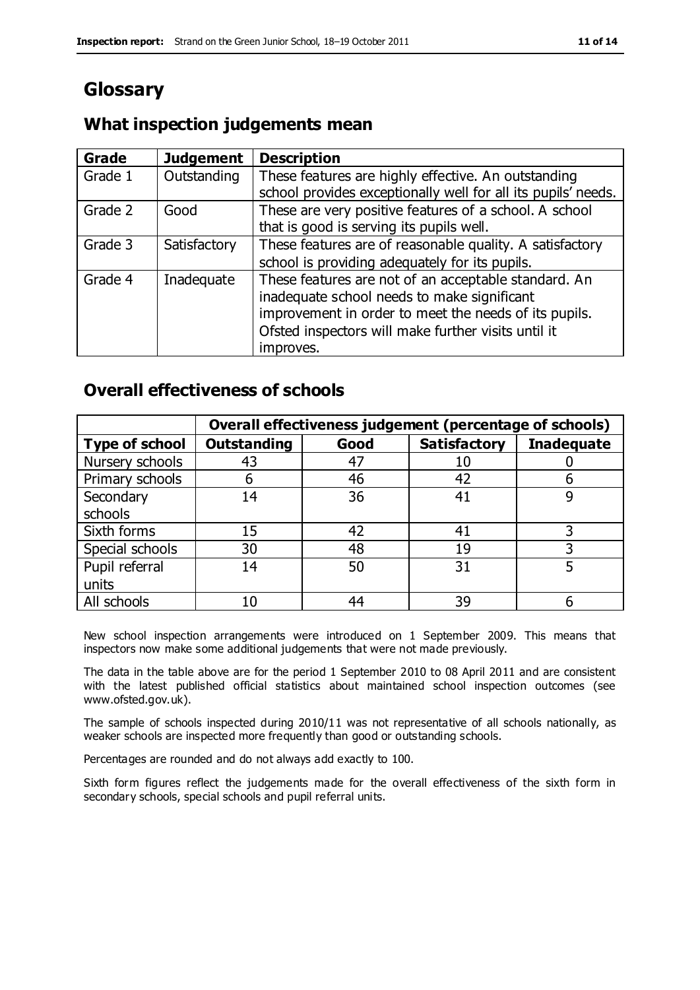# **Glossary**

### **What inspection judgements mean**

| <b>Grade</b> | <b>Judgement</b> | <b>Description</b>                                                                                                                                                                                                               |
|--------------|------------------|----------------------------------------------------------------------------------------------------------------------------------------------------------------------------------------------------------------------------------|
| Grade 1      | Outstanding      | These features are highly effective. An outstanding<br>school provides exceptionally well for all its pupils' needs.                                                                                                             |
| Grade 2      | Good             | These are very positive features of a school. A school<br>that is good is serving its pupils well.                                                                                                                               |
| Grade 3      | Satisfactory     | These features are of reasonable quality. A satisfactory<br>school is providing adequately for its pupils.                                                                                                                       |
| Grade 4      | Inadequate       | These features are not of an acceptable standard. An<br>inadequate school needs to make significant<br>improvement in order to meet the needs of its pupils.<br>Ofsted inspectors will make further visits until it<br>improves. |

### **Overall effectiveness of schools**

|                       |                    |      | Overall effectiveness judgement (percentage of schools) |                   |
|-----------------------|--------------------|------|---------------------------------------------------------|-------------------|
| <b>Type of school</b> | <b>Outstanding</b> | Good | <b>Satisfactory</b>                                     | <b>Inadequate</b> |
| Nursery schools       | 43                 | 47   |                                                         |                   |
| Primary schools       | h                  | 46   | 42                                                      |                   |
| Secondary             | 14                 | 36   | 41                                                      |                   |
| schools               |                    |      |                                                         |                   |
| Sixth forms           | 15                 | 42   | 41                                                      | 3                 |
| Special schools       | 30                 | 48   | 19                                                      |                   |
| Pupil referral        | 14                 | 50   | 31                                                      |                   |
| units                 |                    |      |                                                         |                   |
| All schools           | 10                 | 44   | 39                                                      |                   |

New school inspection arrangements were introduced on 1 September 2009. This means that inspectors now make some additional judgements that were not made previously.

The data in the table above are for the period 1 September 2010 to 08 April 2011 and are consistent with the latest published official statistics about maintained school inspection outcomes (see www.ofsted.gov.uk).

The sample of schools inspected during 2010/11 was not representative of all schools nationally, as weaker schools are inspected more frequently than good or outstanding schools.

Percentages are rounded and do not always add exactly to 100.

Sixth form figures reflect the judgements made for the overall effectiveness of the sixth form in secondary schools, special schools and pupil referral units.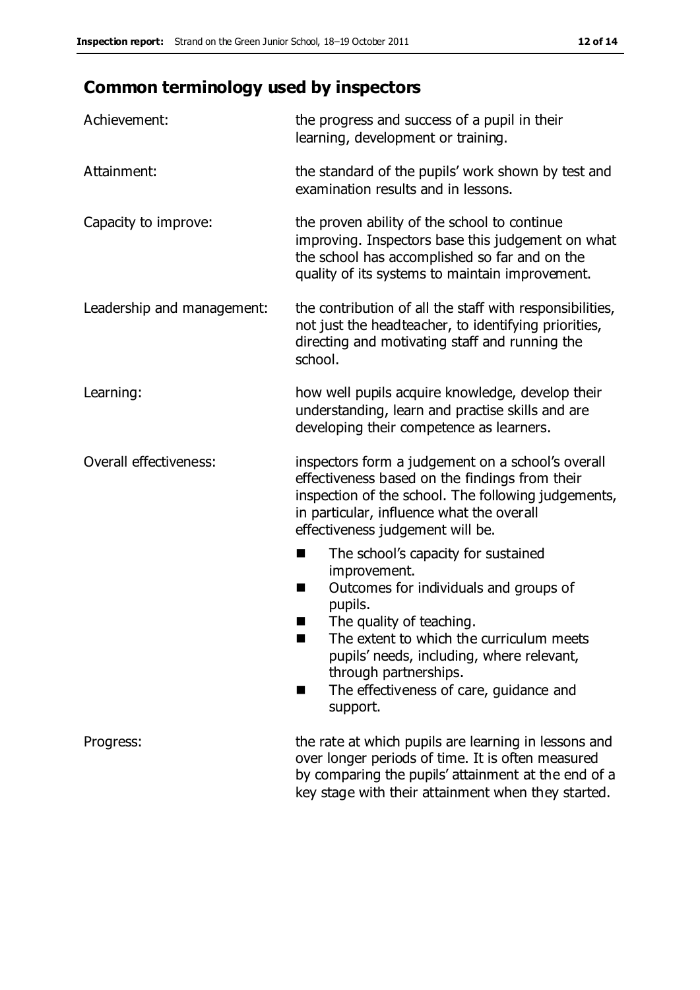# **Common terminology used by inspectors**

| Achievement:               | the progress and success of a pupil in their<br>learning, development or training.                                                                                                                                                                                                                                           |
|----------------------------|------------------------------------------------------------------------------------------------------------------------------------------------------------------------------------------------------------------------------------------------------------------------------------------------------------------------------|
| Attainment:                | the standard of the pupils' work shown by test and<br>examination results and in lessons.                                                                                                                                                                                                                                    |
| Capacity to improve:       | the proven ability of the school to continue<br>improving. Inspectors base this judgement on what<br>the school has accomplished so far and on the<br>quality of its systems to maintain improvement.                                                                                                                        |
| Leadership and management: | the contribution of all the staff with responsibilities,<br>not just the headteacher, to identifying priorities,<br>directing and motivating staff and running the<br>school.                                                                                                                                                |
| Learning:                  | how well pupils acquire knowledge, develop their<br>understanding, learn and practise skills and are<br>developing their competence as learners.                                                                                                                                                                             |
| Overall effectiveness:     | inspectors form a judgement on a school's overall<br>effectiveness based on the findings from their<br>inspection of the school. The following judgements,<br>in particular, influence what the overall<br>effectiveness judgement will be.                                                                                  |
|                            | The school's capacity for sustained<br>improvement.<br>Outcomes for individuals and groups of<br>H<br>pupils.<br>The quality of teaching.<br>×<br>The extent to which the curriculum meets<br>pupils' needs, including, where relevant,<br>through partnerships.<br>The effectiveness of care, guidance and<br>H<br>support. |
| Progress:                  | the rate at which pupils are learning in lessons and<br>over longer periods of time. It is often measured<br>by comparing the pupils' attainment at the end of a<br>key stage with their attainment when they started.                                                                                                       |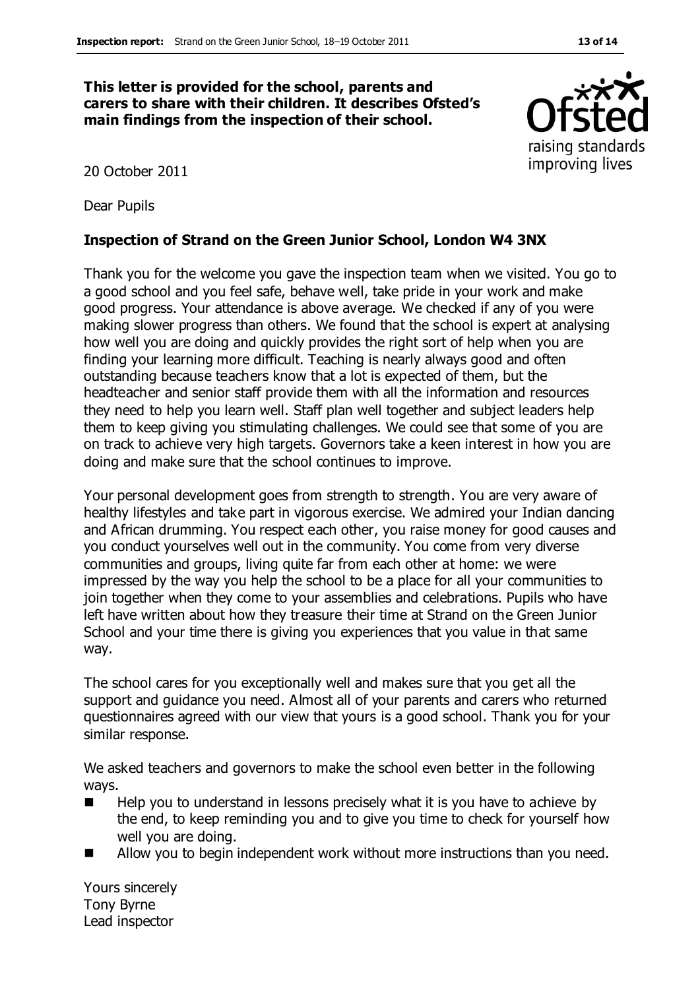#### **This letter is provided for the school, parents and carers to share with their children. It describes Ofsted's main findings from the inspection of their school.**

20 October 2011

Dear Pupils

#### **Inspection of Strand on the Green Junior School, London W4 3NX**

Thank you for the welcome you gave the inspection team when we visited. You go to a good school and you feel safe, behave well, take pride in your work and make good progress. Your attendance is above average. We checked if any of you were making slower progress than others. We found that the school is expert at analysing how well you are doing and quickly provides the right sort of help when you are finding your learning more difficult. Teaching is nearly always good and often outstanding because teachers know that a lot is expected of them, but the headteacher and senior staff provide them with all the information and resources they need to help you learn well. Staff plan well together and subject leaders help them to keep giving you stimulating challenges. We could see that some of you are on track to achieve very high targets. Governors take a keen interest in how you are doing and make sure that the school continues to improve.

Your personal development goes from strength to strength. You are very aware of healthy lifestyles and take part in vigorous exercise. We admired your Indian dancing and African drumming. You respect each other, you raise money for good causes and you conduct yourselves well out in the community. You come from very diverse communities and groups, living quite far from each other at home: we were impressed by the way you help the school to be a place for all your communities to join together when they come to your assemblies and celebrations. Pupils who have left have written about how they treasure their time at Strand on the Green Junior School and your time there is giving you experiences that you value in that same way.

The school cares for you exceptionally well and makes sure that you get all the support and guidance you need. Almost all of your parents and carers who returned questionnaires agreed with our view that yours is a good school. Thank you for your similar response.

We asked teachers and governors to make the school even better in the following ways.

- Help you to understand in lessons precisely what it is you have to achieve by the end, to keep reminding you and to give you time to check for yourself how well you are doing.
- Allow you to begin independent work without more instructions than you need.

Yours sincerely Tony Byrne Lead inspector